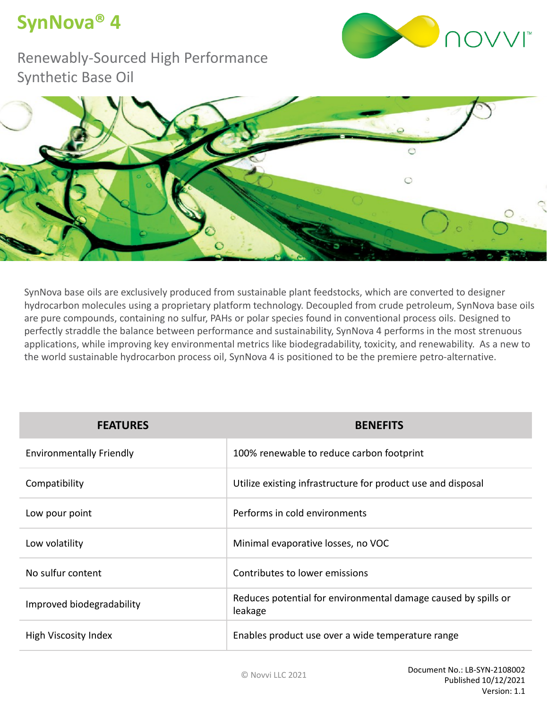## **SynNova® 4**



Renewably-Sourced High Performance Synthetic Base Oil



SynNova base oils are exclusively produced from sustainable plant feedstocks, which are converted to designer hydrocarbon molecules using a proprietary platform technology. Decoupled from crude petroleum, SynNova base oils are pure compounds, containing no sulfur, PAHs or polar species found in conventional process oils. Designed to perfectly straddle the balance between performance and sustainability, SynNova 4 performs in the most strenuous applications, while improving key environmental metrics like biodegradability, toxicity, and renewability. As a new to the world sustainable hydrocarbon process oil, SynNova 4 is positioned to be the premiere petro-alternative.

| <b>FEATURES</b>                 | <b>BENEFITS</b>                                                           |
|---------------------------------|---------------------------------------------------------------------------|
| <b>Environmentally Friendly</b> | 100% renewable to reduce carbon footprint                                 |
| Compatibility                   | Utilize existing infrastructure for product use and disposal              |
| Low pour point                  | Performs in cold environments                                             |
| Low volatility                  | Minimal evaporative losses, no VOC                                        |
| No sulfur content               | Contributes to lower emissions                                            |
| Improved biodegradability       | Reduces potential for environmental damage caused by spills or<br>leakage |
| High Viscosity Index            | Enables product use over a wide temperature range                         |